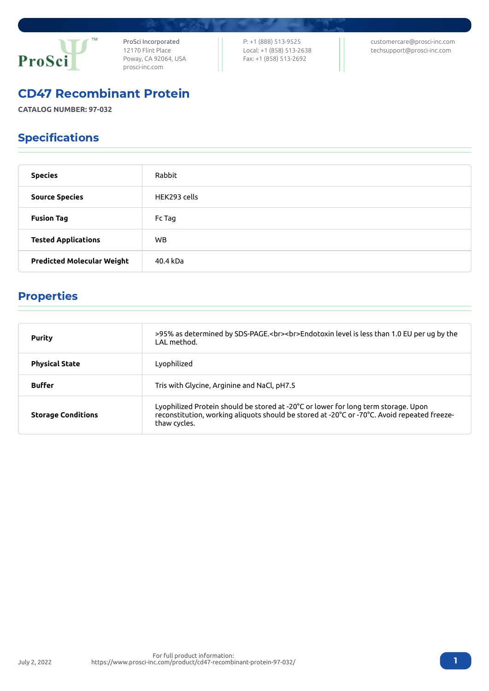

ProSci Incorporated 12170 Flint Place Poway, CA 92064, USA [prosci-inc.com](https://prosci-inc.com/)

P: +1 (888) 513-9525 Local: +1 (858) 513-2638 Fax: +1 (858) 513-2692

[customercare@prosci-inc.com](mailto:customercare@prosci-inc.com) [techsupport@prosci-inc.com](mailto:techsupport@prosci-inc.com)

# CD47 Recombinant Protein

**CATALOG NUMBER: 97-032**

# Specifications

| <b>Species</b>                    | Rabbit       |
|-----------------------------------|--------------|
| <b>Source Species</b>             | HEK293 cells |
| <b>Fusion Tag</b>                 | Fc Tag       |
| <b>Tested Applications</b>        | WB.          |
| <b>Predicted Molecular Weight</b> | 40.4 kDa     |

# Properties

| <b>Purity</b>             | >95% as determined by SDS-PAGE.<br><br>>>Endotoxin level is less than 1.0 EU per ug by the<br>I AI method.                                                                                        |
|---------------------------|---------------------------------------------------------------------------------------------------------------------------------------------------------------------------------------------------|
| <b>Physical State</b>     | Lyophilized                                                                                                                                                                                       |
| <b>Buffer</b>             | Tris with Glycine, Arginine and NaCl, pH7.5                                                                                                                                                       |
| <b>Storage Conditions</b> | Lyophilized Protein should be stored at -20°C or lower for long term storage. Upon<br>reconstitution, working aliquots should be stored at -20°C or -70°C. Avoid repeated freeze-<br>thaw cycles. |